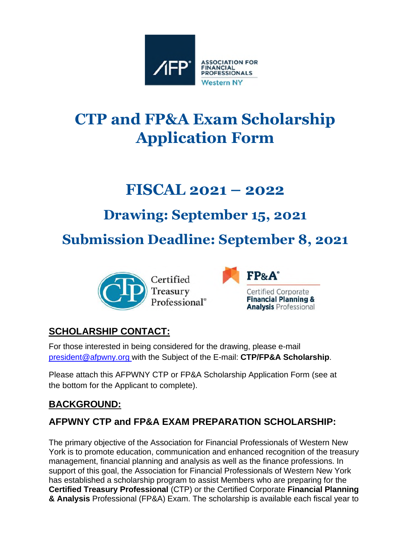

# **CTP and FP&A Exam Scholarship Application Form**

# **FISCAL 2021 – 2022**

# **Drawing: September 15, 2021**

**Submission Deadline: September 8, 2021**





## **SCHOLARSHIP CONTACT:**

For those interested in being considered for the drawing, please e-mail [president@afpwny.org w](mailto:president@afpwny.org)ith the Subject of the E-mail: **CTP/FP&A Scholarship**.

Please attach this AFPWNY CTP or FP&A Scholarship Application Form (see at the bottom for the Applicant to complete).

## **BACKGROUND:**

## **AFPWNY CTP and FP&A EXAM PREPARATION SCHOLARSHIP:**

The primary objective of the Association for Financial Professionals of Western New York is to promote education, communication and enhanced recognition of the treasury management, financial planning and analysis as well as the finance professions. In support of this goal, the Association for Financial Professionals of Western New York has established a scholarship program to assist Members who are preparing for the **Certified Treasury Professional** (CTP) or the Certified Corporate **Financial Planning & Analysis** Professional (FP&A) Exam. The scholarship is available each fiscal year to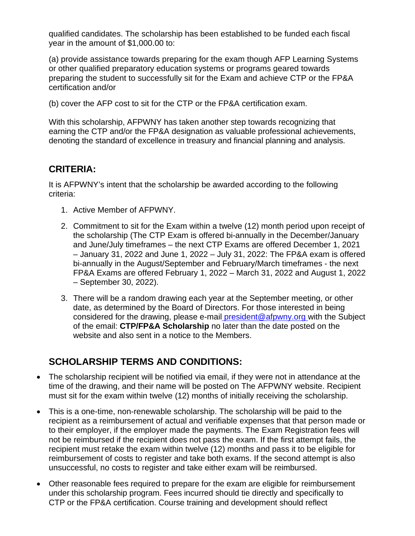qualified candidates. The scholarship has been established to be funded each fiscal year in the amount of \$1,000.00 to:

(a) provide assistance towards preparing for the exam though AFP Learning Systems or other qualified preparatory education systems or programs geared towards preparing the student to successfully sit for the Exam and achieve CTP or the FP&A certification and/or

(b) cover the AFP cost to sit for the CTP or the FP&A certification exam.

With this scholarship, AFPWNY has taken another step towards recognizing that earning the CTP and/or the FP&A designation as valuable professional achievements, denoting the standard of excellence in treasury and financial planning and analysis.

#### **CRITERIA:**

It is AFPWNY's intent that the scholarship be awarded according to the following criteria:

- 1. Active Member of AFPWNY.
- 2. Commitment to sit for the Exam within a twelve (12) month period upon receipt of the scholarship (The CTP Exam is offered bi-annually in the December/January and June/July timeframes – the next CTP Exams are offered December 1, 2021 – January 31, 2022 and June 1, 2022 – July 31, 2022: The FP&A exam is offered bi-annually in the August/September and February/March timeframes - the next FP&A Exams are offered February 1, 2022 – March 31, 2022 and August 1, 2022 – September 30, 2022).
- 3. There will be a random drawing each year at the September meeting, or other date, as determined by the Board of Dire[ctors. For those intereste](mailto:president@afpwny.org)d in being considered for the drawing, please e-mail president@afpwny.org with the Subject of the email: **CTP/FP&A Scholarship** no later than the date posted on the website and also sent in a notice to the Members.

### **SCHOLARSHIP TERMS AND CONDITIONS:**

- The scholarship recipient will be notified via email, if they were not in attendance at the time of the drawing, and their name will be posted on The AFPWNY website. Recipient must sit for the exam within twelve (12) months of initially receiving the scholarship.
- This is a one-time, non-renewable scholarship. The scholarship will be paid to the recipient as a reimbursement of actual and verifiable expenses that that person made or to their employer, if the employer made the payments. The Exam Registration fees will not be reimbursed if the recipient does not pass the exam. If the first attempt fails, the recipient must retake the exam within twelve (12) months and pass it to be eligible for reimbursement of costs to register and take both exams. If the second attempt is also unsuccessful, no costs to register and take either exam will be reimbursed.
- Other reasonable fees required to prepare for the exam are eligible for reimbursement under this scholarship program. Fees incurred should tie directly and specifically to CTP or the FP&A certification. Course training and development should reflect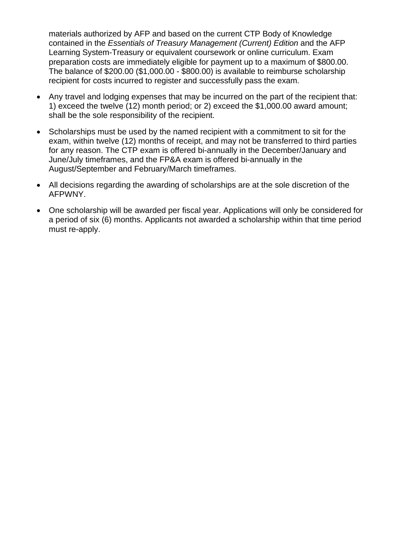materials authorized by AFP and based on the current CTP Body of Knowledge contained in the *Essentials of Treasury Management (Current) Edition* and the AFP Learning System-Treasury or equivalent coursework or online curriculum. Exam preparation costs are immediately eligible for payment up to a maximum of \$800.00. The balance of \$200.00 (\$1,000.00 - \$800.00) is available to reimburse scholarship recipient for costs incurred to register and successfully pass the exam.

- Any travel and lodging expenses that may be incurred on the part of the recipient that: 1) exceed the twelve (12) month period; or 2) exceed the \$1,000.00 award amount; shall be the sole responsibility of the recipient.
- Scholarships must be used by the named recipient with a commitment to sit for the exam, within twelve (12) months of receipt, and may not be transferred to third parties for any reason. The CTP exam is offered bi-annually in the December/January and June/July timeframes, and the FP&A exam is offered bi-annually in the August/September and February/March timeframes.
- All decisions regarding the awarding of scholarships are at the sole discretion of the AFPWNY.
- One scholarship will be awarded per fiscal year. Applications will only be considered for a period of six (6) months. Applicants not awarded a scholarship within that time period must re-apply.